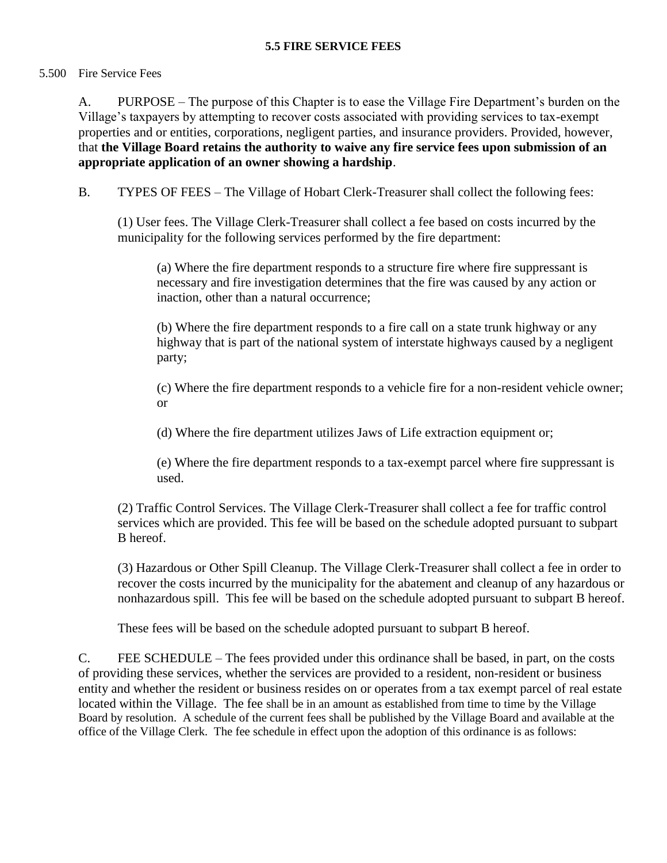## **5.5 FIRE SERVICE FEES**

## 5.500 Fire Service Fees

A. PURPOSE – The purpose of this Chapter is to ease the Village Fire Department's burden on the Village's taxpayers by attempting to recover costs associated with providing services to tax-exempt properties and or entities, corporations, negligent parties, and insurance providers. Provided, however, that **the Village Board retains the authority to waive any fire service fees upon submission of an appropriate application of an owner showing a hardship**.

B. TYPES OF FEES – The Village of Hobart Clerk-Treasurer shall collect the following fees:

(1) User fees. The Village Clerk-Treasurer shall collect a fee based on costs incurred by the municipality for the following services performed by the fire department:

(a) Where the fire department responds to a structure fire where fire suppressant is necessary and fire investigation determines that the fire was caused by any action or inaction, other than a natural occurrence;

(b) Where the fire department responds to a fire call on a state trunk highway or any highway that is part of the national system of interstate highways caused by a negligent party;

(c) Where the fire department responds to a vehicle fire for a non-resident vehicle owner; or

(d) Where the fire department utilizes Jaws of Life extraction equipment or;

(e) Where the fire department responds to a tax-exempt parcel where fire suppressant is used.

(2) Traffic Control Services. The Village Clerk-Treasurer shall collect a fee for traffic control services which are provided. This fee will be based on the schedule adopted pursuant to subpart B hereof.

(3) Hazardous or Other Spill Cleanup. The Village Clerk-Treasurer shall collect a fee in order to recover the costs incurred by the municipality for the abatement and cleanup of any hazardous or nonhazardous spill. This fee will be based on the schedule adopted pursuant to subpart B hereof.

These fees will be based on the schedule adopted pursuant to subpart B hereof.

C. FEE SCHEDULE – The fees provided under this ordinance shall be based, in part, on the costs of providing these services, whether the services are provided to a resident, non-resident or business entity and whether the resident or business resides on or operates from a tax exempt parcel of real estate located within the Village. The fee shall be in an amount as established from time to time by the Village Board by resolution. A schedule of the current fees shall be published by the Village Board and available at the office of the Village Clerk. The fee schedule in effect upon the adoption of this ordinance is as follows: